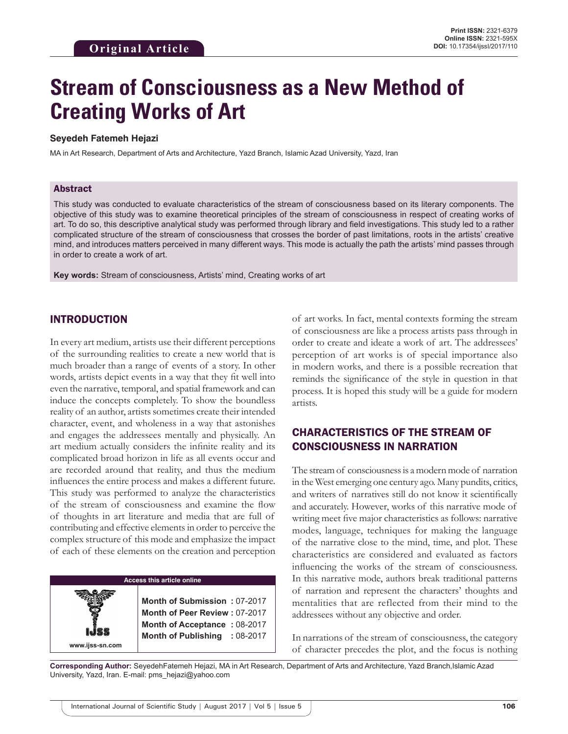# **Stream of Consciousness as a New Method of Creating Works of Art**

#### **Seyedeh Fatemeh Hejazi**

MA in Art Research, Department of Arts and Architecture, Yazd Branch, Islamic Azad University, Yazd, Iran

#### Abstract

This study was conducted to evaluate characteristics of the stream of consciousness based on its literary components. The objective of this study was to examine theoretical principles of the stream of consciousness in respect of creating works of art. To do so, this descriptive analytical study was performed through library and field investigations. This study led to a rather complicated structure of the stream of consciousness that crosses the border of past limitations, roots in the artists' creative mind, and introduces matters perceived in many different ways. This mode is actually the path the artists' mind passes through in order to create a work of art.

**Key words:** Stream of consciousness, Artists' mind, Creating works of art

## INTRODUCTION

**www.ijss-sn.com**

In every art medium, artists use their different perceptions of the surrounding realities to create a new world that is much broader than a range of events of a story. In other words, artists depict events in a way that they fit well into even the narrative, temporal, and spatial framework and can induce the concepts completely. To show the boundless reality of an author, artists sometimes create their intended character, event, and wholeness in a way that astonishes and engages the addressees mentally and physically. An art medium actually considers the infinite reality and its complicated broad horizon in life as all events occur and are recorded around that reality, and thus the medium influences the entire process and makes a different future. This study was performed to analyze the characteristics of the stream of consciousness and examine the flow of thoughts in art literature and media that are full of contributing and effective elements in order to perceive the complex structure of this mode and emphasize the impact of each of these elements on the creation and perception

#### **Access this article online**

**Month of Submission :** 07-2017 **Month of Peer Review :** 07-2017 **Month of Acceptance :** 08-2017 **Month of Publishing :** 08-2017 of art works. In fact, mental contexts forming the stream of consciousness are like a process artists pass through in order to create and ideate a work of art. The addressees' perception of art works is of special importance also in modern works, and there is a possible recreation that reminds the significance of the style in question in that process. It is hoped this study will be a guide for modern artists.

# CHARACTERISTICS OF THE STREAM OF CONSCIOUSNESS IN NARRATION

The stream of consciousness is a modern mode of narration in the West emerging one century ago. Many pundits, critics, and writers of narratives still do not know it scientifically and accurately. However, works of this narrative mode of writing meet five major characteristics as follows: narrative modes, language, techniques for making the language of the narrative close to the mind, time, and plot. These characteristics are considered and evaluated as factors influencing the works of the stream of consciousness. In this narrative mode, authors break traditional patterns of narration and represent the characters' thoughts and mentalities that are reflected from their mind to the addressees without any objective and order.

In narrations of the stream of consciousness, the category of character precedes the plot, and the focus is nothing

**Corresponding Author:** SeyedehFatemeh Hejazi, MA in Art Research, Department of Arts and Architecture, Yazd Branch,Islamic Azad University, Yazd, Iran. E-mail: pms\_hejazi@yahoo.com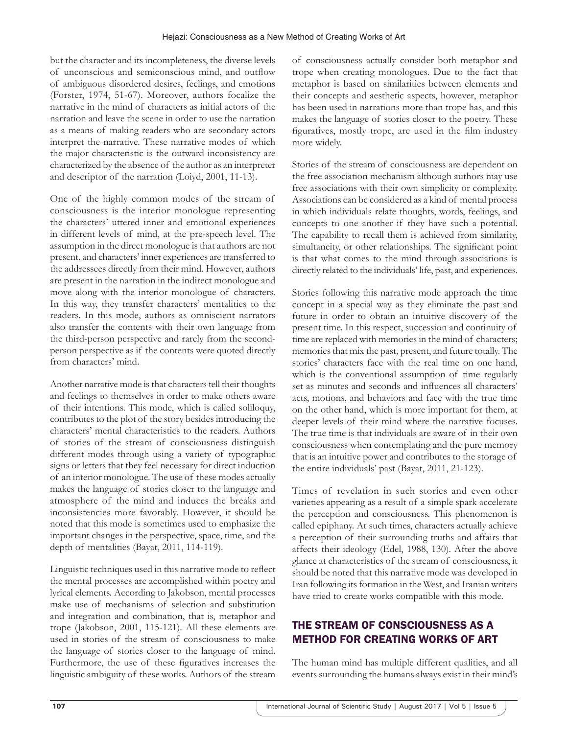but the character and its incompleteness, the diverse levels of unconscious and semiconscious mind, and outflow of ambiguous disordered desires, feelings, and emotions (Forster, 1974, 51-67). Moreover, authors focalize the narrative in the mind of characters as initial actors of the narration and leave the scene in order to use the narration as a means of making readers who are secondary actors interpret the narrative. These narrative modes of which the major characteristic is the outward inconsistency are characterized by the absence of the author as an interpreter and descriptor of the narration (Loiyd, 2001, 11-13).

One of the highly common modes of the stream of consciousness is the interior monologue representing the characters' uttered inner and emotional experiences in different levels of mind, at the pre-speech level. The assumption in the direct monologue is that authors are not present, and characters' inner experiences are transferred to the addressees directly from their mind. However, authors are present in the narration in the indirect monologue and move along with the interior monologue of characters. In this way, they transfer characters' mentalities to the readers. In this mode, authors as omniscient narrators also transfer the contents with their own language from the third-person perspective and rarely from the secondperson perspective as if the contents were quoted directly from characters' mind.

Another narrative mode is that characters tell their thoughts and feelings to themselves in order to make others aware of their intentions. This mode, which is called soliloquy, contributes to the plot of the story besides introducing the characters' mental characteristics to the readers. Authors of stories of the stream of consciousness distinguish different modes through using a variety of typographic signs or letters that they feel necessary for direct induction of an interior monologue. The use of these modes actually makes the language of stories closer to the language and atmosphere of the mind and induces the breaks and inconsistencies more favorably. However, it should be noted that this mode is sometimes used to emphasize the important changes in the perspective, space, time, and the depth of mentalities (Bayat, 2011, 114-119).

Linguistic techniques used in this narrative mode to reflect the mental processes are accomplished within poetry and lyrical elements. According to Jakobson, mental processes make use of mechanisms of selection and substitution and integration and combination, that is, metaphor and trope (Jakobson, 2001, 115-121). All these elements are used in stories of the stream of consciousness to make the language of stories closer to the language of mind. Furthermore, the use of these figuratives increases the linguistic ambiguity of these works. Authors of the stream of consciousness actually consider both metaphor and trope when creating monologues. Due to the fact that metaphor is based on similarities between elements and their concepts and aesthetic aspects, however, metaphor has been used in narrations more than trope has, and this makes the language of stories closer to the poetry. These figuratives, mostly trope, are used in the film industry more widely.

Stories of the stream of consciousness are dependent on the free association mechanism although authors may use free associations with their own simplicity or complexity. Associations can be considered as a kind of mental process in which individuals relate thoughts, words, feelings, and concepts to one another if they have such a potential. The capability to recall them is achieved from similarity, simultaneity, or other relationships. The significant point is that what comes to the mind through associations is directly related to the individuals' life, past, and experiences.

Stories following this narrative mode approach the time concept in a special way as they eliminate the past and future in order to obtain an intuitive discovery of the present time. In this respect, succession and continuity of time are replaced with memories in the mind of characters; memories that mix the past, present, and future totally. The stories' characters face with the real time on one hand, which is the conventional assumption of time regularly set as minutes and seconds and influences all characters' acts, motions, and behaviors and face with the true time on the other hand, which is more important for them, at deeper levels of their mind where the narrative focuses. The true time is that individuals are aware of in their own consciousness when contemplating and the pure memory that is an intuitive power and contributes to the storage of the entire individuals' past (Bayat, 2011, 21-123).

Times of revelation in such stories and even other varieties appearing as a result of a simple spark accelerate the perception and consciousness. This phenomenon is called epiphany. At such times, characters actually achieve a perception of their surrounding truths and affairs that affects their ideology (Edel, 1988, 130). After the above glance at characteristics of the stream of consciousness, it should be noted that this narrative mode was developed in Iran following its formation in the West, and Iranian writers have tried to create works compatible with this mode.

# THE STREAM OF CONSCIOUSNESS AS A METHOD FOR CREATING WORKS OF ART

The human mind has multiple different qualities, and all events surrounding the humans always exist in their mind's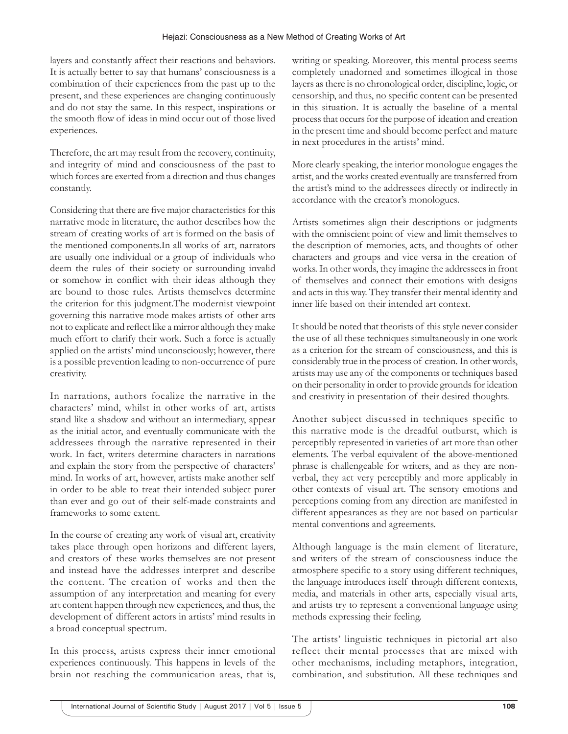layers and constantly affect their reactions and behaviors. It is actually better to say that humans' consciousness is a combination of their experiences from the past up to the present, and these experiences are changing continuously and do not stay the same. In this respect, inspirations or the smooth flow of ideas in mind occur out of those lived experiences.

Therefore, the art may result from the recovery, continuity, and integrity of mind and consciousness of the past to which forces are exerted from a direction and thus changes constantly.

Considering that there are five major characteristics for this narrative mode in literature, the author describes how the stream of creating works of art is formed on the basis of the mentioned components.In all works of art, narrators are usually one individual or a group of individuals who deem the rules of their society or surrounding invalid or somehow in conflict with their ideas although they are bound to those rules. Artists themselves determine the criterion for this judgment.The modernist viewpoint governing this narrative mode makes artists of other arts not to explicate and reflect like a mirror although they make much effort to clarify their work. Such a force is actually applied on the artists' mind unconsciously; however, there is a possible prevention leading to non-occurrence of pure creativity.

In narrations, authors focalize the narrative in the characters' mind, whilst in other works of art, artists stand like a shadow and without an intermediary, appear as the initial actor, and eventually communicate with the addressees through the narrative represented in their work. In fact, writers determine characters in narrations and explain the story from the perspective of characters' mind. In works of art, however, artists make another self in order to be able to treat their intended subject purer than ever and go out of their self-made constraints and frameworks to some extent.

In the course of creating any work of visual art, creativity takes place through open horizons and different layers, and creators of these works themselves are not present and instead have the addresses interpret and describe the content. The creation of works and then the assumption of any interpretation and meaning for every art content happen through new experiences, and thus, the development of different actors in artists' mind results in a broad conceptual spectrum.

In this process, artists express their inner emotional experiences continuously. This happens in levels of the brain not reaching the communication areas, that is,

writing or speaking. Moreover, this mental process seems completely unadorned and sometimes illogical in those layers as there is no chronological order, discipline, logic, or censorship, and thus, no specific content can be presented in this situation. It is actually the baseline of a mental process that occurs for the purpose of ideation and creation in the present time and should become perfect and mature in next procedures in the artists' mind.

More clearly speaking, the interior monologue engages the artist, and the works created eventually are transferred from the artist's mind to the addressees directly or indirectly in accordance with the creator's monologues.

Artists sometimes align their descriptions or judgments with the omniscient point of view and limit themselves to the description of memories, acts, and thoughts of other characters and groups and vice versa in the creation of works. In other words, they imagine the addressees in front of themselves and connect their emotions with designs and acts in this way. They transfer their mental identity and inner life based on their intended art context.

It should be noted that theorists of this style never consider the use of all these techniques simultaneously in one work as a criterion for the stream of consciousness, and this is considerably true in the process of creation. In other words, artists may use any of the components or techniques based on their personality in order to provide grounds for ideation and creativity in presentation of their desired thoughts.

Another subject discussed in techniques specific to this narrative mode is the dreadful outburst, which is perceptibly represented in varieties of art more than other elements. The verbal equivalent of the above-mentioned phrase is challengeable for writers, and as they are nonverbal, they act very perceptibly and more applicably in other contexts of visual art. The sensory emotions and perceptions coming from any direction are manifested in different appearances as they are not based on particular mental conventions and agreements.

Although language is the main element of literature, and writers of the stream of consciousness induce the atmosphere specific to a story using different techniques, the language introduces itself through different contexts, media, and materials in other arts, especially visual arts, and artists try to represent a conventional language using methods expressing their feeling.

The artists' linguistic techniques in pictorial art also reflect their mental processes that are mixed with other mechanisms, including metaphors, integration, combination, and substitution. All these techniques and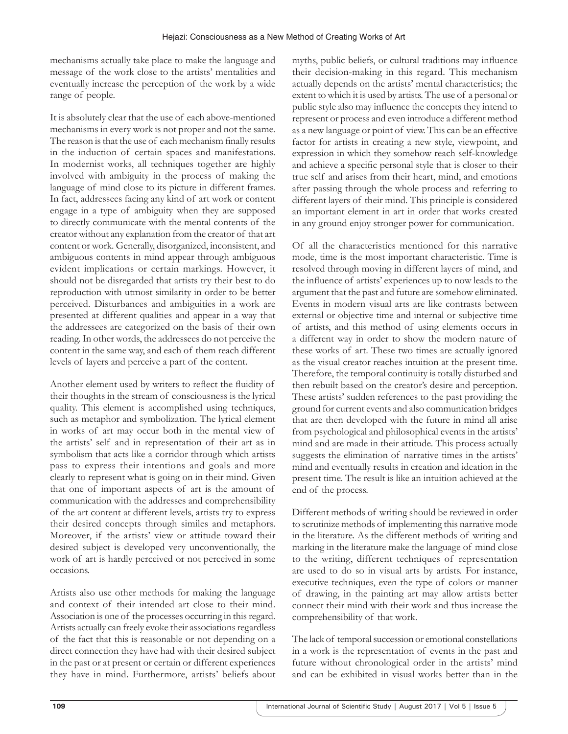mechanisms actually take place to make the language and message of the work close to the artists' mentalities and eventually increase the perception of the work by a wide range of people.

It is absolutely clear that the use of each above-mentioned mechanisms in every work is not proper and not the same. The reason is that the use of each mechanism finally results in the induction of certain spaces and manifestations. In modernist works, all techniques together are highly involved with ambiguity in the process of making the language of mind close to its picture in different frames. In fact, addressees facing any kind of art work or content engage in a type of ambiguity when they are supposed to directly communicate with the mental contents of the creator without any explanation from the creator of that art content or work. Generally, disorganized, inconsistent, and ambiguous contents in mind appear through ambiguous evident implications or certain markings. However, it should not be disregarded that artists try their best to do reproduction with utmost similarity in order to be better perceived. Disturbances and ambiguities in a work are presented at different qualities and appear in a way that the addressees are categorized on the basis of their own reading. In other words, the addressees do not perceive the content in the same way, and each of them reach different levels of layers and perceive a part of the content.

Another element used by writers to reflect the fluidity of their thoughts in the stream of consciousness is the lyrical quality. This element is accomplished using techniques, such as metaphor and symbolization. The lyrical element in works of art may occur both in the mental view of the artists' self and in representation of their art as in symbolism that acts like a corridor through which artists pass to express their intentions and goals and more clearly to represent what is going on in their mind. Given that one of important aspects of art is the amount of communication with the addresses and comprehensibility of the art content at different levels, artists try to express their desired concepts through similes and metaphors. Moreover, if the artists' view or attitude toward their desired subject is developed very unconventionally, the work of art is hardly perceived or not perceived in some occasions.

Artists also use other methods for making the language and context of their intended art close to their mind. Association is one of the processes occurring in this regard. Artists actually can freely evoke their associations regardless of the fact that this is reasonable or not depending on a direct connection they have had with their desired subject in the past or at present or certain or different experiences they have in mind. Furthermore, artists' beliefs about myths, public beliefs, or cultural traditions may influence their decision-making in this regard. This mechanism actually depends on the artists' mental characteristics; the extent to which it is used by artists. The use of a personal or public style also may influence the concepts they intend to represent or process and even introduce a different method as a new language or point of view. This can be an effective factor for artists in creating a new style, viewpoint, and expression in which they somehow reach self-knowledge and achieve a specific personal style that is closer to their true self and arises from their heart, mind, and emotions after passing through the whole process and referring to different layers of their mind. This principle is considered an important element in art in order that works created in any ground enjoy stronger power for communication.

Of all the characteristics mentioned for this narrative mode, time is the most important characteristic. Time is resolved through moving in different layers of mind, and the influence of artists' experiences up to now leads to the argument that the past and future are somehow eliminated. Events in modern visual arts are like contrasts between external or objective time and internal or subjective time of artists, and this method of using elements occurs in a different way in order to show the modern nature of these works of art. These two times are actually ignored as the visual creator reaches intuition at the present time. Therefore, the temporal continuity is totally disturbed and then rebuilt based on the creator's desire and perception. These artists' sudden references to the past providing the ground for current events and also communication bridges that are then developed with the future in mind all arise from psychological and philosophical events in the artists' mind and are made in their attitude. This process actually suggests the elimination of narrative times in the artists' mind and eventually results in creation and ideation in the present time. The result is like an intuition achieved at the end of the process.

Different methods of writing should be reviewed in order to scrutinize methods of implementing this narrative mode in the literature. As the different methods of writing and marking in the literature make the language of mind close to the writing, different techniques of representation are used to do so in visual arts by artists. For instance, executive techniques, even the type of colors or manner of drawing, in the painting art may allow artists better connect their mind with their work and thus increase the comprehensibility of that work.

The lack of temporal succession or emotional constellations in a work is the representation of events in the past and future without chronological order in the artists' mind and can be exhibited in visual works better than in the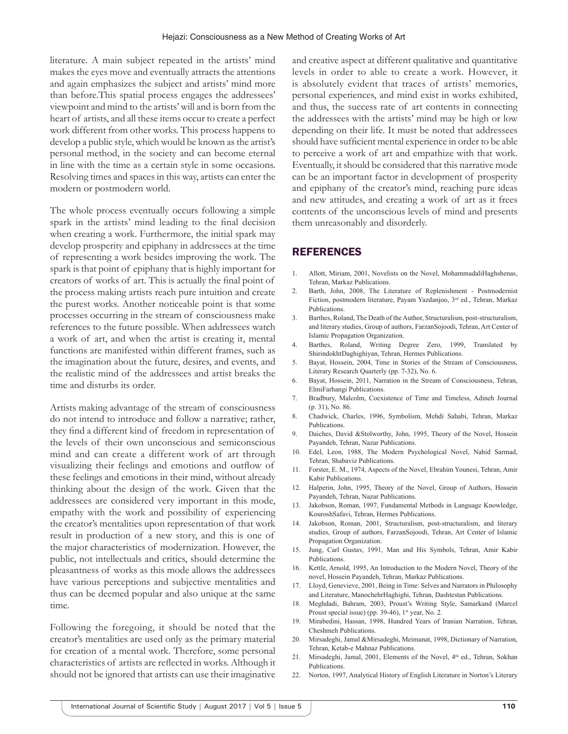literature. A main subject repeated in the artists' mind makes the eyes move and eventually attracts the attentions and again emphasizes the subject and artists' mind more than before.This spatial process engages the addressees' viewpoint and mind to the artists' will and is born from the heart of artists, and all these items occur to create a perfect work different from other works. This process happens to develop a public style, which would be known as the artist's personal method, in the society and can become eternal in line with the time as a certain style in some occasions. Resolving times and spaces in this way, artists can enter the modern or postmodern world.

The whole process eventually occurs following a simple spark in the artists' mind leading to the final decision when creating a work. Furthermore, the initial spark may develop prosperity and epiphany in addressees at the time of representing a work besides improving the work. The spark is that point of epiphany that is highly important for creators of works of art. This is actually the final point of the process making artists reach pure intuition and create the purest works. Another noticeable point is that some processes occurring in the stream of consciousness make references to the future possible. When addressees watch a work of art, and when the artist is creating it, mental functions are manifested within different frames, such as the imagination about the future, desires, and events, and the realistic mind of the addressees and artist breaks the time and disturbs its order.

Artists making advantage of the stream of consciousness do not intend to introduce and follow a narrative; rather, they find a different kind of freedom in representation of the levels of their own unconscious and semiconscious mind and can create a different work of art through visualizing their feelings and emotions and outflow of these feelings and emotions in their mind, without already thinking about the design of the work. Given that the addressees are considered very important in this mode, empathy with the work and possibility of experiencing the creator's mentalities upon representation of that work result in production of a new story, and this is one of the major characteristics of modernization. However, the public, not intellectuals and critics, should determine the pleasantness of works as this mode allows the addressees have various perceptions and subjective mentalities and thus can be deemed popular and also unique at the same time.

Following the foregoing, it should be noted that the creator's mentalities are used only as the primary material for creation of a mental work. Therefore, some personal characteristics of artists are reflected in works. Although it should not be ignored that artists can use their imaginative and creative aspect at different qualitative and quantitative levels in order to able to create a work. However, it is absolutely evident that traces of artists' memories, personal experiences, and mind exist in works exhibited, and thus, the success rate of art contents in connecting the addressees with the artists' mind may be high or low depending on their life. It must be noted that addressees should have sufficient mental experience in order to be able to perceive a work of art and empathize with that work. Eventually, it should be considered that this narrative mode can be an important factor in development of prosperity and epiphany of the creator's mind, reaching pure ideas and new attitudes, and creating a work of art as it frees contents of the unconscious levels of mind and presents them unreasonably and disorderly.

### **REFERENCES**

- 1. Allott, Miriam, 2001, Novelists on the Novel, MohammadaliHaghshenas, Tehran, Markaz Publications.
- 2. Barth, John, 2008, The Literature of Replenishment Postmodernist Fiction, postmodern literature, Payam Yazdanjoo, 3rd ed., Tehran, Markaz Publications.
- 3. Barthes, Roland, The Death of the Author, Structuralism, post-structuralism, and literary studies, Group of authors, FarzanSojoodi, Tehran, Art Center of Islamic Propagation Organization.
- 4. Barthes, Roland, Writing Degree Zero, 1999, Translated by ShirindokhtDaghighiyan, Tehran, Hermes Publications.
- 5. Bayat, Hossein, 2004, Time in Stories of the Stream of Consciousness, Literary Research Quarterly (pp. 7-32), No. 6.
- 6. Bayat, Hossein, 2011, Narration in the Stream of Consciousness, Tehran, ElmiFarhangi Publications.
- 7. Bradbury, Malcolm, Coexistence of Time and Timeless, Adineh Journal (p. 31), No. 86.
- 8. Chadwick, Charles, 1996, Symbolism, Mehdi Sahabi, Tehran, Markaz Publications.
- 9. Daiches, David &Stolworthy, John, 1995, Theory of the Novel, Hossein Payandeh, Tehran, Nazar Publications.
- 10. Edel, Leon, 1988, The Modern Psychological Novel, Nahid Sarmad, Tehran, Shabaviz Publications.
- 11. Forster, E. M., 1974, Aspects of the Novel, Ebrahim Younesi, Tehran, Amir Kabir Publications.
- 12. Halperin, John, 1995, Theory of the Novel, Group of Authors, Hossein Payandeh, Tehran, Nazar Publications.
- 13. Jakobson, Roman, 1997, Fundamental Methods in Language Knowledge, KouroshSafavi, Tehran, Hermes Publications.
- 14. Jakobson, Roman, 2001, Structuralism, post-structuralism, and literary studies, Group of authors, FarzanSojoodi, Tehran, Art Center of Islamic Propagation Organization.
- 15. Jung, Carl Gustav, 1991, Man and His Symbols, Tehran, Amir Kabir Publications.
- 16. Kettle, Arnold, 1995, An Introduction to the Modern Novel, Theory of the novel, Hossein Payandeh, Tehran, Markaz Publications.
- 17. Lloyd, Genevieve, 2001, Being in Time: Selves and Narrators in Philosophy and Literature, ManochehrHaghighi, Tehran, Dashtestan Publications.
- 18. Meghdadi, Bahram, 2003, Proust's Writing Style, Samarkand (Marcel Proust special issue) (pp. 39-46), 1<sup>st</sup> year, No. 2.
- 19. Mirabedini, Hassan, 1998, Hundred Years of Iranian Narration, Tehran, Cheshmeh Publications.
- 20. Mirsadeghi, Jamal &Mirsadeghi, Meimanat, 1998, Dictionary of Narration, Tehran, Ketab-e Mahnaz Publications.
- 21. Mirsadeghi, Jamal, 2001, Elements of the Novel, 4<sup>th</sup> ed., Tehran, Sokhan Publications.
- 22. Norton, 1997, Analytical History of English Literature in Norton's Literary